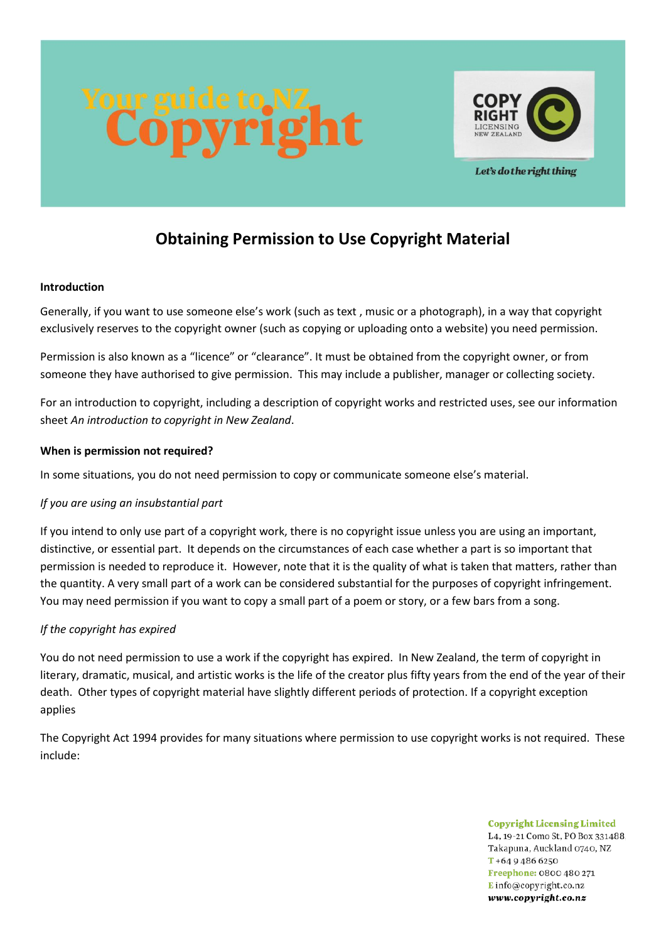



Let's do the right thing

# **Obtaining Permission to Use Copyright Material**

#### **Introduction**

Generally, if you want to use someone else's work (such as text , music or a photograph), in a way that copyright exclusively reserves to the copyright owner (such as copying or uploading onto a website) you need permission.

Permission is also known as a "licence" or "clearance". It must be obtained from the copyright owner, or from someone they have authorised to give permission. This may include a publisher, manager or collecting society.

For an introduction to copyright, including a description of copyright works and restricted uses, see our information sheet *An introduction to copyright in New Zealand*.

# **When is permission not required?**

In some situations, you do not need permission to copy or communicate someone else's material.

# *If you are using an insubstantial part*

If you intend to only use part of a copyright work, there is no copyright issue unless you are using an important, distinctive, or essential part. It depends on the circumstances of each case whether a part is so important that permission is needed to reproduce it. However, note that it is the quality of what is taken that matters, rather than the quantity. A very small part of a work can be considered substantial for the purposes of copyright infringement. You may need permission if you want to copy a small part of a poem or story, or a few bars from a song.

# *If the copyright has expired*

You do not need permission to use a work if the copyright has expired. In New Zealand, the term of copyright in literary, dramatic, musical, and artistic works is the life of the creator plus fifty years from the end of the year of their death. Other types of copyright material have slightly different periods of protection. If a copyright exception applies

The Copyright Act 1994 provides for many situations where permission to use copyright works is not required. These include:

> **Copyright Licensing Limited** L4, 19-21 Como St, PO Box 331488. Takapuna, Auckland 0740, NZ  $T + 6494866250$ Freephone: 0800 480 271 Einfo@copyright.co.nz www.copyright.co.nz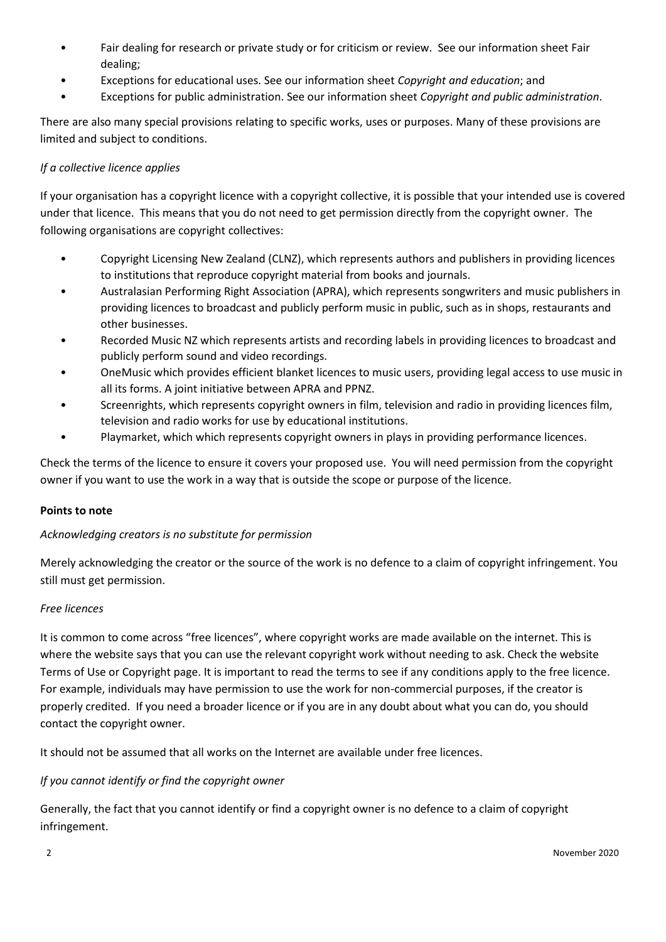- Fair dealing for research or private study or for criticism or review. See our information sheet Fair dealing;
- Exceptions for educational uses. See our information sheet *Copyright and education*; and
- Exceptions for public administration. See our information sheet *Copyright and public administration*.

There are also many special provisions relating to specific works, uses or purposes. Many of these provisions are limited and subject to conditions.

#### *If a collective licence applies*

If your organisation has a copyright licence with a copyright collective, it is possible that your intended use is covered under that licence. This means that you do not need to get permission directly from the copyright owner. The following organisations are copyright collectives:

- Copyright Licensing New Zealand (CLNZ), which represents authors and publishers in providing licences to institutions that reproduce copyright material from books and journals.
- Australasian Performing Right Association (APRA), which represents songwriters and music publishers in providing licences to broadcast and publicly perform music in public, such as in shops, restaurants and other businesses.
- Recorded Music NZ which represents artists and recording labels in providing licences to broadcast and publicly perform sound and video recordings.
- OneMusic which provides efficient blanket licences to music users, providing legal access to use music in all its forms. A joint initiative between APRA and PPNZ.
- Screenrights, which represents copyright owners in film, television and radio in providing licences film, television and radio works for use by educational institutions.
- Playmarket, which which represents copyright owners in plays in providing performance licences.

Check the terms of the licence to ensure it covers your proposed use. You will need permission from the copyright owner if you want to use the work in a way that is outside the scope or purpose of the licence.

#### **Points to note**

# *Acknowledging creators is no substitute for permission*

Merely acknowledging the creator or the source of the work is no defence to a claim of copyright infringement. You still must get permission.

#### *Free licences*

It is common to come across "free licences", where copyright works are made available on the internet. This is where the website says that you can use the relevant copyright work without needing to ask. Check the website Terms of Use or Copyright page. It is important to read the terms to see if any conditions apply to the free licence. For example, individuals may have permission to use the work for non-commercial purposes, if the creator is properly credited. If you need a broader licence or if you are in any doubt about what you can do, you should contact the copyright owner.

It should not be assumed that all works on the Internet are available under free licences.

# *If you cannot identify or find the copyright owner*

Generally, the fact that you cannot identify or find a copyright owner is no defence to a claim of copyright infringement.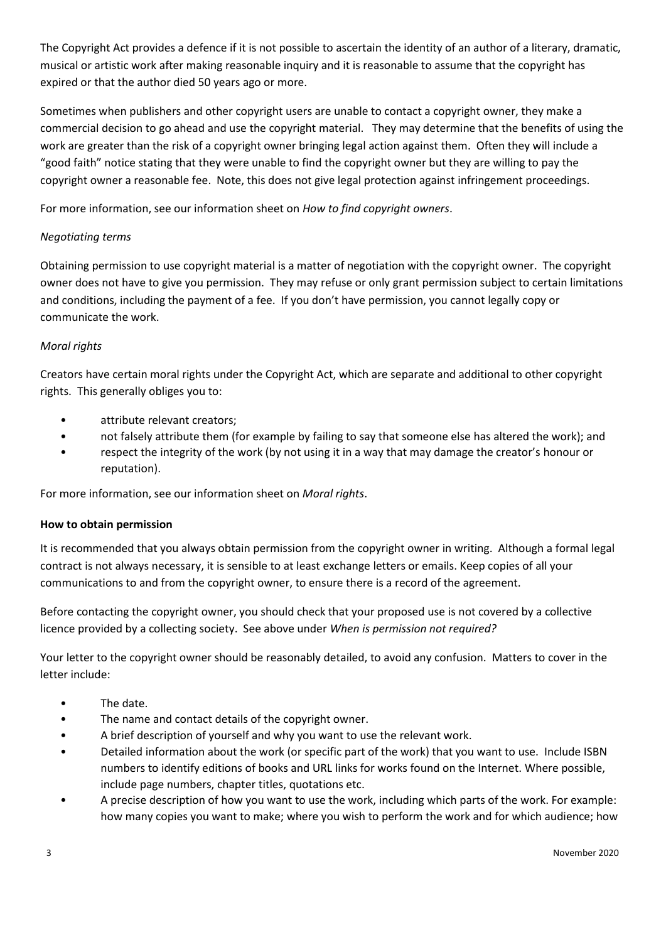The Copyright Act provides a defence if it is not possible to ascertain the identity of an author of a literary, dramatic, musical or artistic work after making reasonable inquiry and it is reasonable to assume that the copyright has expired or that the author died 50 years ago or more.

Sometimes when publishers and other copyright users are unable to contact a copyright owner, they make a commercial decision to go ahead and use the copyright material. They may determine that the benefits of using the work are greater than the risk of a copyright owner bringing legal action against them. Often they will include a "good faith" notice stating that they were unable to find the copyright owner but they are willing to pay the copyright owner a reasonable fee. Note, this does not give legal protection against infringement proceedings.

For more information, see our information sheet on *How to find copyright owners*.

# *Negotiating terms*

Obtaining permission to use copyright material is a matter of negotiation with the copyright owner. The copyright owner does not have to give you permission. They may refuse or only grant permission subject to certain limitations and conditions, including the payment of a fee. If you don't have permission, you cannot legally copy or communicate the work.

# *Moral rights*

Creators have certain moral rights under the Copyright Act, which are separate and additional to other copyright rights. This generally obliges you to:

- attribute relevant creators;
- not falsely attribute them (for example by failing to say that someone else has altered the work); and
- respect the integrity of the work (by not using it in a way that may damage the creator's honour or reputation).

For more information, see our information sheet on *Moral rights*.

#### **How to obtain permission**

It is recommended that you always obtain permission from the copyright owner in writing. Although a formal legal contract is not always necessary, it is sensible to at least exchange letters or emails. Keep copies of all your communications to and from the copyright owner, to ensure there is a record of the agreement.

Before contacting the copyright owner, you should check that your proposed use is not covered by a collective licence provided by a collecting society. See above under *When is permission not required?*

Your letter to the copyright owner should be reasonably detailed, to avoid any confusion. Matters to cover in the letter include:

- The date.
- The name and contact details of the copyright owner.
- A brief description of yourself and why you want to use the relevant work.
- Detailed information about the work (or specific part of the work) that you want to use. Include ISBN numbers to identify editions of books and URL links for works found on the Internet. Where possible, include page numbers, chapter titles, quotations etc.
- A precise description of how you want to use the work, including which parts of the work. For example: how many copies you want to make; where you wish to perform the work and for which audience; how